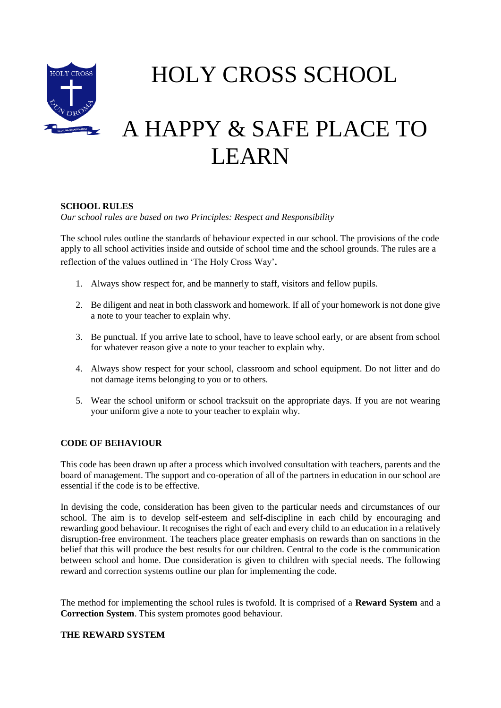

HOLY CROSS SCHOOL

# A HAPPY & SAFE PLACE TO LEARN

## **SCHOOL RULES**

*Our school rules are based on two Principles: Respect and Responsibility*

The school rules outline the standards of behaviour expected in our school. The provisions of the code apply to all school activities inside and outside of school time and the school grounds. The rules are a reflection of the values outlined in 'The Holy Cross Way'*.*

- 1. Always show respect for, and be mannerly to staff, visitors and fellow pupils.
- 2. Be diligent and neat in both classwork and homework. If all of your homework is not done give a note to your teacher to explain why.
- 3. Be punctual. If you arrive late to school, have to leave school early, or are absent from school for whatever reason give a note to your teacher to explain why.
- 4. Always show respect for your school, classroom and school equipment. Do not litter and do not damage items belonging to you or to others.
- 5. Wear the school uniform or school tracksuit on the appropriate days. If you are not wearing your uniform give a note to your teacher to explain why.

## **CODE OF BEHAVIOUR**

This code has been drawn up after a process which involved consultation with teachers, parents and the board of management. The support and co-operation of all of the partners in education in our school are essential if the code is to be effective.

In devising the code, consideration has been given to the particular needs and circumstances of our school. The aim is to develop self-esteem and self-discipline in each child by encouraging and rewarding good behaviour. It recognises the right of each and every child to an education in a relatively disruption-free environment. The teachers place greater emphasis on rewards than on sanctions in the belief that this will produce the best results for our children. Central to the code is the communication between school and home. Due consideration is given to children with special needs. The following reward and correction systems outline our plan for implementing the code.

The method for implementing the school rules is twofold. It is comprised of a **Reward System** and a **Correction System**. This system promotes good behaviour.

### **THE REWARD SYSTEM**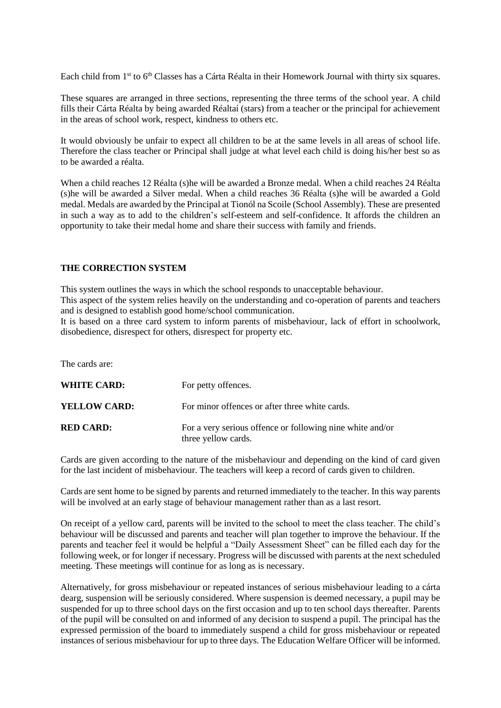Each child from 1<sup>st</sup> to 6<sup>th</sup> Classes has a Cárta Réalta in their Homework Journal with thirty six squares.

These squares are arranged in three sections, representing the three terms of the school year. A child fills their Cárta Réalta by being awarded Réaltaí (stars) from a teacher or the principal for achievement in the areas of school work, respect, kindness to others etc.

It would obviously be unfair to expect all children to be at the same levels in all areas of school life. Therefore the class teacher or Principal shall judge at what level each child is doing his/her best so as to be awarded a réalta.

When a child reaches 12 Réalta (s)he will be awarded a Bronze medal. When a child reaches 24 Réalta (s)he will be awarded a Silver medal. When a child reaches 36 Réalta (s)he will be awarded a Gold medal. Medals are awarded by the Principal at Tionól na Scoile (School Assembly). These are presented in such a way as to add to the children's self-esteem and self-confidence. It affords the children an opportunity to take their medal home and share their success with family and friends.

### **THE CORRECTION SYSTEM**

This system outlines the ways in which the school responds to unacceptable behaviour.

This aspect of the system relies heavily on the understanding and co-operation of parents and teachers and is designed to establish good home/school communication.

It is based on a three card system to inform parents of misbehaviour, lack of effort in schoolwork, disobedience, disrespect for others, disrespect for property etc.

The cards are:

| <b>WHITE CARD:</b>  | For petty offences.                                                              |
|---------------------|----------------------------------------------------------------------------------|
| <b>YELLOW CARD:</b> | For minor offences or after three white cards.                                   |
| <b>RED CARD:</b>    | For a very serious offence or following nine white and/or<br>three yellow cards. |

Cards are given according to the nature of the misbehaviour and depending on the kind of card given for the last incident of misbehaviour. The teachers will keep a record of cards given to children.

Cards are sent home to be signed by parents and returned immediately to the teacher. In this way parents will be involved at an early stage of behaviour management rather than as a last resort.

On receipt of a yellow card, parents will be invited to the school to meet the class teacher. The child's behaviour will be discussed and parents and teacher will plan together to improve the behaviour. If the parents and teacher feel it would be helpful a "Daily Assessment Sheet" can be filled each day for the following week, or for longer if necessary. Progress will be discussed with parents at the next scheduled meeting. These meetings will continue for as long as is necessary.

Alternatively, for gross misbehaviour or repeated instances of serious misbehaviour leading to a cárta dearg, suspension will be seriously considered. Where suspension is deemed necessary, a pupil may be suspended for up to three school days on the first occasion and up to ten school days thereafter. Parents of the pupil will be consulted on and informed of any decision to suspend a pupil. The principal has the expressed permission of the board to immediately suspend a child for gross misbehaviour or repeated instances of serious misbehaviour for up to three days. The Education Welfare Officer will be informed.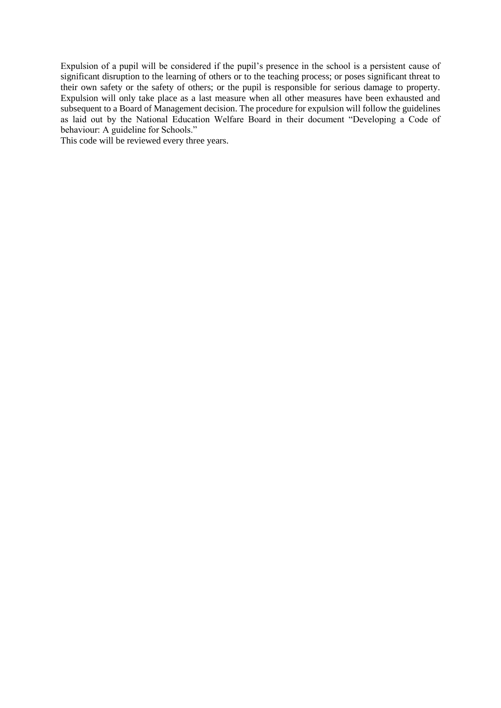Expulsion of a pupil will be considered if the pupil's presence in the school is a persistent cause of significant disruption to the learning of others or to the teaching process; or poses significant threat to their own safety or the safety of others; or the pupil is responsible for serious damage to property. Expulsion will only take place as a last measure when all other measures have been exhausted and subsequent to a Board of Management decision. The procedure for expulsion will follow the guidelines as laid out by the National Education Welfare Board in their document "Developing a Code of behaviour: A guideline for Schools."

This code will be reviewed every three years.